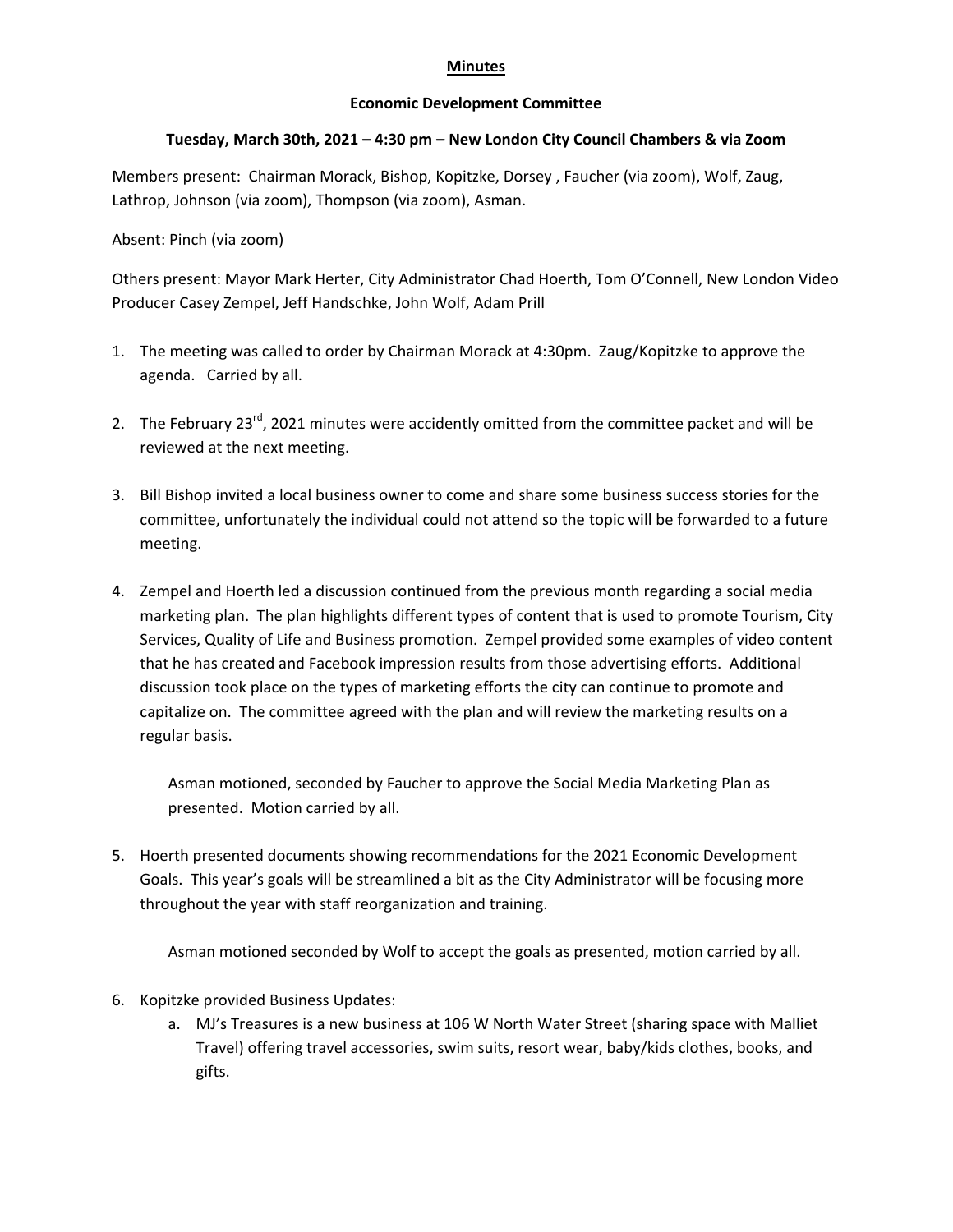## **Minutes**

## **Economic Development Committee**

## **Tuesday, March 30th, 2021 – 4:30 pm – New London City Council Chambers & via Zoom**

Members present: Chairman Morack, Bishop, Kopitzke, Dorsey , Faucher (via zoom), Wolf, Zaug, Lathrop, Johnson (via zoom), Thompson (via zoom), Asman.

Absent: Pinch (via zoom)

Others present: Mayor Mark Herter, City Administrator Chad Hoerth, Tom O'Connell, New London Video Producer Casey Zempel, Jeff Handschke, John Wolf, Adam Prill

- 1. The meeting was called to order by Chairman Morack at 4:30pm. Zaug/Kopitzke to approve the agenda. Carried by all.
- 2. The February 23<sup>rd</sup>, 2021 minutes were accidently omitted from the committee packet and will be reviewed at the next meeting.
- 3. Bill Bishop invited a local business owner to come and share some business success stories for the committee, unfortunately the individual could not attend so the topic will be forwarded to a future meeting.
- 4. Zempel and Hoerth led a discussion continued from the previous month regarding a social media marketing plan. The plan highlights different types of content that is used to promote Tourism, City Services, Quality of Life and Business promotion. Zempel provided some examples of video content that he has created and Facebook impression results from those advertising efforts. Additional discussion took place on the types of marketing efforts the city can continue to promote and capitalize on. The committee agreed with the plan and will review the marketing results on a regular basis.

Asman motioned, seconded by Faucher to approve the Social Media Marketing Plan as presented. Motion carried by all.

5. Hoerth presented documents showing recommendations for the 2021 Economic Development Goals. This year's goals will be streamlined a bit as the City Administrator will be focusing more throughout the year with staff reorganization and training.

Asman motioned seconded by Wolf to accept the goals as presented, motion carried by all.

- 6. Kopitzke provided Business Updates:
	- a. MJ's Treasures is a new business at 106 W North Water Street (sharing space with Malliet Travel) offering travel accessories, swim suits, resort wear, baby/kids clothes, books, and gifts.